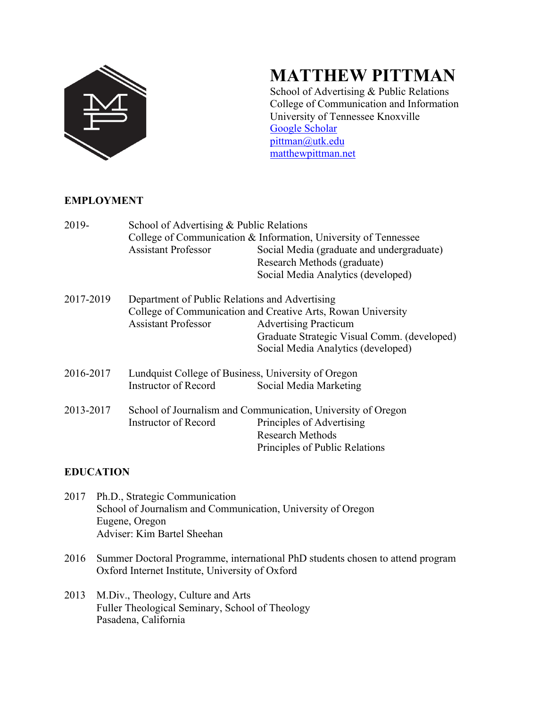

# **MATTHEW PITTMAN**

School of Advertising & Public Relations College of Communication and Information University of Tennessee Knoxville Google Scholar pittman@utk.edu matthewpittman.net

# **EMPLOYMENT**

| 2019-     | School of Advertising & Public Relations<br><b>Assistant Professor</b>       | College of Communication & Information, University of Tennessee<br>Social Media (graduate and undergraduate)<br>Research Methods (graduate)<br>Social Media Analytics (developed) |
|-----------|------------------------------------------------------------------------------|-----------------------------------------------------------------------------------------------------------------------------------------------------------------------------------|
| 2017-2019 | Department of Public Relations and Advertising<br><b>Assistant Professor</b> | College of Communication and Creative Arts, Rowan University<br><b>Advertising Practicum</b><br>Graduate Strategic Visual Comm. (developed)<br>Social Media Analytics (developed) |
| 2016-2017 | Lundquist College of Business, University of Oregon<br>Instructor of Record  | Social Media Marketing                                                                                                                                                            |
| 2013-2017 | Instructor of Record                                                         | School of Journalism and Communication, University of Oregon<br>Principles of Advertising<br><b>Research Methods</b><br>Principles of Public Relations                            |

# **EDUCATION**

- 2017 Ph.D., Strategic Communication School of Journalism and Communication, University of Oregon Eugene, Oregon Adviser: Kim Bartel Sheehan
- 2016 Summer Doctoral Programme, international PhD students chosen to attend program Oxford Internet Institute, University of Oxford
- 2013 M.Div., Theology, Culture and Arts Fuller Theological Seminary, School of Theology Pasadena, California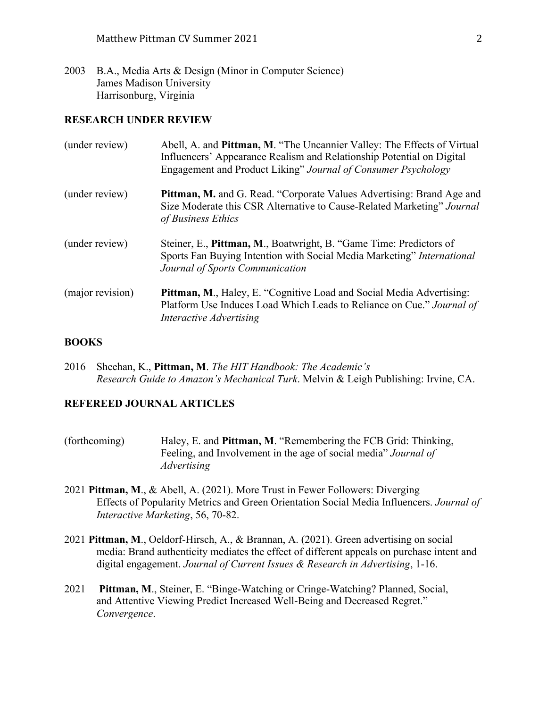2003 B.A., Media Arts & Design (Minor in Computer Science) James Madison University Harrisonburg, Virginia

## **RESEARCH UNDER REVIEW**

| (under review)   | Abell, A. and Pittman, M. "The Uncannier Valley: The Effects of Virtual<br>Influencers' Appearance Realism and Relationship Potential on Digital<br>Engagement and Product Liking" Journal of Consumer Psychology |
|------------------|-------------------------------------------------------------------------------------------------------------------------------------------------------------------------------------------------------------------|
| (under review)   | <b>Pittman, M.</b> and G. Read. "Corporate Values Advertising: Brand Age and<br>Size Moderate this CSR Alternative to Cause-Related Marketing" Journal<br>of Business Ethics                                      |
| (under review)   | Steiner, E., Pittman, M., Boatwright, B. "Game Time: Predictors of<br>Sports Fan Buying Intention with Social Media Marketing" International<br>Journal of Sports Communication                                   |
| (major revision) | <b>Pittman, M., Haley, E. "Cognitive Load and Social Media Advertising:</b><br>Platform Use Induces Load Which Leads to Reliance on Cue." Journal of<br>Interactive Advertising                                   |

#### **BOOKS**

2016 Sheehan, K., **Pittman, M**. *The HIT Handbook: The Academic's Research Guide to Amazon's Mechanical Turk*. Melvin & Leigh Publishing: Irvine, CA.

# **REFEREED JOURNAL ARTICLES**

- (forthcoming) Haley, E. and **Pittman, M**. "Remembering the FCB Grid: Thinking, Feeling, and Involvement in the age of social media" *Journal of Advertising*
- 2021 **Pittman, M**., & Abell, A. (2021). More Trust in Fewer Followers: Diverging Effects of Popularity Metrics and Green Orientation Social Media Influencers. *Journal of Interactive Marketing*, 56, 70-82.
- 2021 **Pittman, M**., Oeldorf-Hirsch, A., & Brannan, A. (2021). Green advertising on social media: Brand authenticity mediates the effect of different appeals on purchase intent and digital engagement. *Journal of Current Issues & Research in Advertising*, 1-16.
- 2021 **Pittman, M**., Steiner, E. "Binge-Watching or Cringe-Watching? Planned, Social, and Attentive Viewing Predict Increased Well-Being and Decreased Regret." *Convergence*.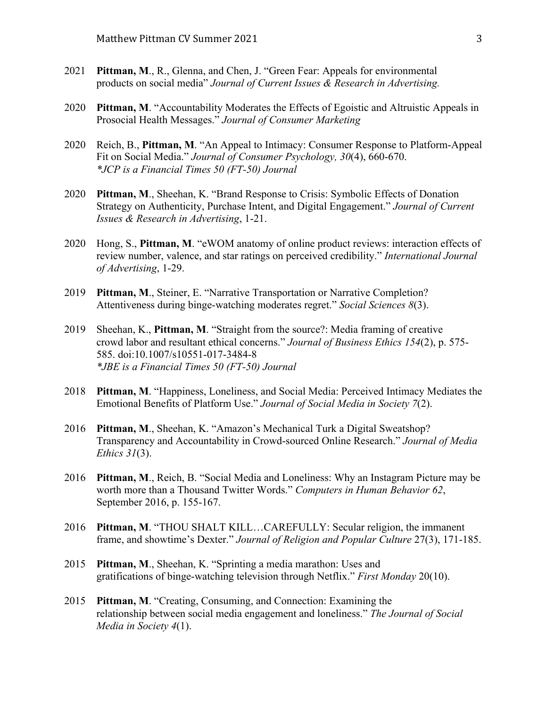- 2021 **Pittman, M**., R., Glenna, and Chen, J. "Green Fear: Appeals for environmental products on social media" *Journal of Current Issues & Research in Advertising.*
- 2020 **Pittman, M**. "Accountability Moderates the Effects of Egoistic and Altruistic Appeals in Prosocial Health Messages." *Journal of Consumer Marketing*
- 2020 Reich, B., **Pittman, M**. "An Appeal to Intimacy: Consumer Response to Platform‐Appeal Fit on Social Media." *Journal of Consumer Psychology, 30*(4), 660-670. *\*JCP is a Financial Times 50 (FT-50) Journal*
- 2020 **Pittman, M**., Sheehan, K. "Brand Response to Crisis: Symbolic Effects of Donation Strategy on Authenticity, Purchase Intent, and Digital Engagement." *Journal of Current Issues & Research in Advertising*, 1-21.
- 2020 Hong, S., **Pittman, M**. "eWOM anatomy of online product reviews: interaction effects of review number, valence, and star ratings on perceived credibility." *International Journal of Advertising*, 1-29.
- 2019 **Pittman, M**., Steiner, E. "Narrative Transportation or Narrative Completion? Attentiveness during binge-watching moderates regret." *Social Sciences 8*(3).
- 2019 Sheehan, K., **Pittman, M**. "Straight from the source?: Media framing of creative crowd labor and resultant ethical concerns." *Journal of Business Ethics 154*(2), p. 575- 585. doi:10.1007/s10551-017-3484-8 *\*JBE is a Financial Times 50 (FT-50) Journal*
- 2018 **Pittman, M**. "Happiness, Loneliness, and Social Media: Perceived Intimacy Mediates the Emotional Benefits of Platform Use." *Journal of Social Media in Society 7*(2).
- 2016 **Pittman, M**., Sheehan, K. "Amazon's Mechanical Turk a Digital Sweatshop? Transparency and Accountability in Crowd-sourced Online Research." *Journal of Media Ethics 31*(3).
- 2016 **Pittman, M**., Reich, B. "Social Media and Loneliness: Why an Instagram Picture may be worth more than a Thousand Twitter Words." *Computers in Human Behavior 62*, September 2016, p. 155-167.
- 2016 **Pittman, M**. "THOU SHALT KILL…CAREFULLY: Secular religion, the immanent frame, and showtime's Dexter." *Journal of Religion and Popular Culture* 27(3), 171-185.
- 2015 **Pittman, M**., Sheehan, K. "Sprinting a media marathon: Uses and gratifications of binge-watching television through Netflix." *First Monday* 20(10).
- 2015 **Pittman, M**. "Creating, Consuming, and Connection: Examining the relationship between social media engagement and loneliness." *The Journal of Social Media in Society 4*(1).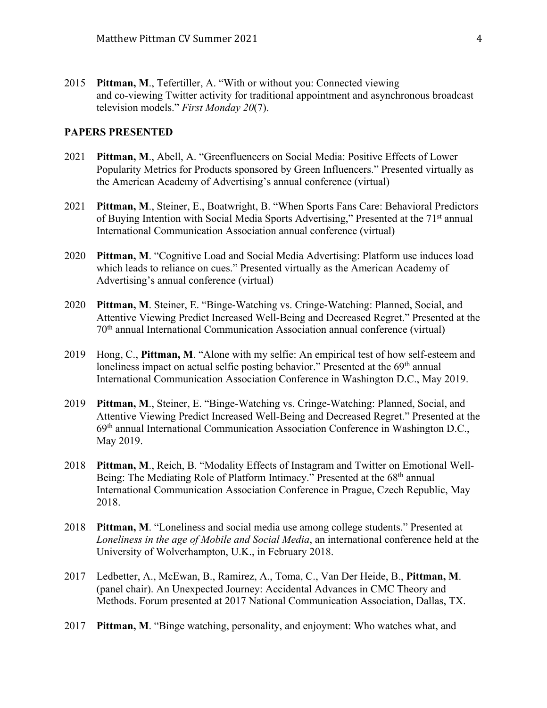2015 **Pittman, M**., Tefertiller, A. "With or without you: Connected viewing and co-viewing Twitter activity for traditional appointment and asynchronous broadcast television models." *First Monday 20*(7).

## **PAPERS PRESENTED**

- 2021 **Pittman, M**., Abell, A. "Greenfluencers on Social Media: Positive Effects of Lower Popularity Metrics for Products sponsored by Green Influencers." Presented virtually as the American Academy of Advertising's annual conference (virtual)
- 2021 **Pittman, M**., Steiner, E., Boatwright, B. "When Sports Fans Care: Behavioral Predictors of Buying Intention with Social Media Sports Advertising," Presented at the 71<sup>st</sup> annual International Communication Association annual conference (virtual)
- 2020 **Pittman, M**. "Cognitive Load and Social Media Advertising: Platform use induces load which leads to reliance on cues." Presented virtually as the American Academy of Advertising's annual conference (virtual)
- 2020 **Pittman, M**. Steiner, E. "Binge-Watching vs. Cringe-Watching: Planned, Social, and Attentive Viewing Predict Increased Well-Being and Decreased Regret." Presented at the 70th annual International Communication Association annual conference (virtual)
- 2019 Hong, C., **Pittman, M**. "Alone with my selfie: An empirical test of how self-esteem and loneliness impact on actual selfie posting behavior." Presented at the  $69<sup>th</sup>$  annual International Communication Association Conference in Washington D.C., May 2019.
- 2019 **Pittman, M**., Steiner, E. "Binge-Watching vs. Cringe-Watching: Planned, Social, and Attentive Viewing Predict Increased Well-Being and Decreased Regret." Presented at the 69th annual International Communication Association Conference in Washington D.C., May 2019.
- 2018 **Pittman, M**., Reich, B. "Modality Effects of Instagram and Twitter on Emotional Well-Being: The Mediating Role of Platform Intimacy." Presented at the 68<sup>th</sup> annual International Communication Association Conference in Prague, Czech Republic, May 2018.
- 2018 **Pittman, M**. "Loneliness and social media use among college students." Presented at *Loneliness in the age of Mobile and Social Media*, an international conference held at the University of Wolverhampton, U.K., in February 2018.
- 2017 Ledbetter, A., McEwan, B., Ramirez, A., Toma, C., Van Der Heide, B., **Pittman, M**. (panel chair). An Unexpected Journey: Accidental Advances in CMC Theory and Methods. Forum presented at 2017 National Communication Association, Dallas, TX.
- 2017 **Pittman, M**. "Binge watching, personality, and enjoyment: Who watches what, and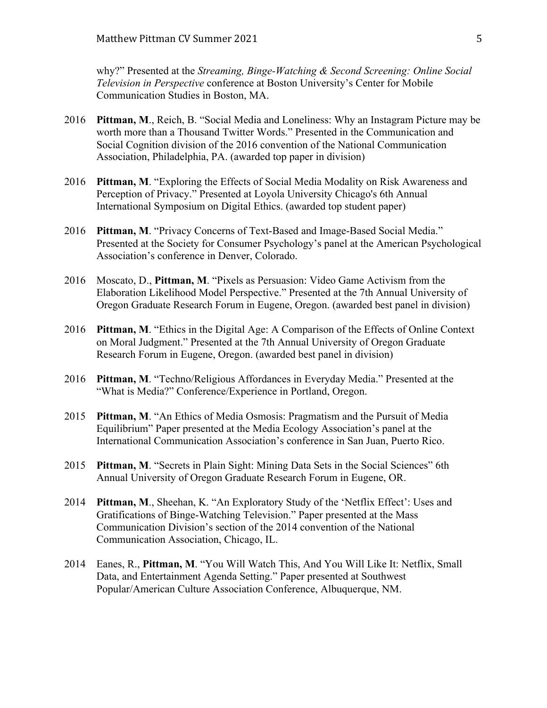why?" Presented at the *Streaming, Binge-Watching & Second Screening: Online Social Television in Perspective* conference at Boston University's Center for Mobile Communication Studies in Boston, MA.

- 2016 **Pittman, M**., Reich, B. "Social Media and Loneliness: Why an Instagram Picture may be worth more than a Thousand Twitter Words." Presented in the Communication and Social Cognition division of the 2016 convention of the National Communication Association, Philadelphia, PA. (awarded top paper in division)
- 2016 **Pittman, M**. "Exploring the Effects of Social Media Modality on Risk Awareness and Perception of Privacy." Presented at Loyola University Chicago's 6th Annual International Symposium on Digital Ethics. (awarded top student paper)
- 2016 **Pittman, M**. "Privacy Concerns of Text-Based and Image-Based Social Media." Presented at the Society for Consumer Psychology's panel at the American Psychological Association's conference in Denver, Colorado.
- 2016 Moscato, D., **Pittman, M**. "Pixels as Persuasion: Video Game Activism from the Elaboration Likelihood Model Perspective." Presented at the 7th Annual University of Oregon Graduate Research Forum in Eugene, Oregon. (awarded best panel in division)
- 2016 **Pittman, M**. "Ethics in the Digital Age: A Comparison of the Effects of Online Context on Moral Judgment." Presented at the 7th Annual University of Oregon Graduate Research Forum in Eugene, Oregon. (awarded best panel in division)
- 2016 **Pittman, M**. "Techno/Religious Affordances in Everyday Media." Presented at the "What is Media?" Conference/Experience in Portland, Oregon.
- 2015 **Pittman, M**. "An Ethics of Media Osmosis: Pragmatism and the Pursuit of Media Equilibrium" Paper presented at the Media Ecology Association's panel at the International Communication Association's conference in San Juan, Puerto Rico.
- 2015 **Pittman, M**. "Secrets in Plain Sight: Mining Data Sets in the Social Sciences" 6th Annual University of Oregon Graduate Research Forum in Eugene, OR.
- 2014 **Pittman, M**., Sheehan, K. "An Exploratory Study of the 'Netflix Effect': Uses and Gratifications of Binge-Watching Television." Paper presented at the Mass Communication Division's section of the 2014 convention of the National Communication Association, Chicago, IL.
- 2014 Eanes, R., **Pittman, M**. "You Will Watch This, And You Will Like It: Netflix, Small Data, and Entertainment Agenda Setting." Paper presented at Southwest Popular/American Culture Association Conference, Albuquerque, NM.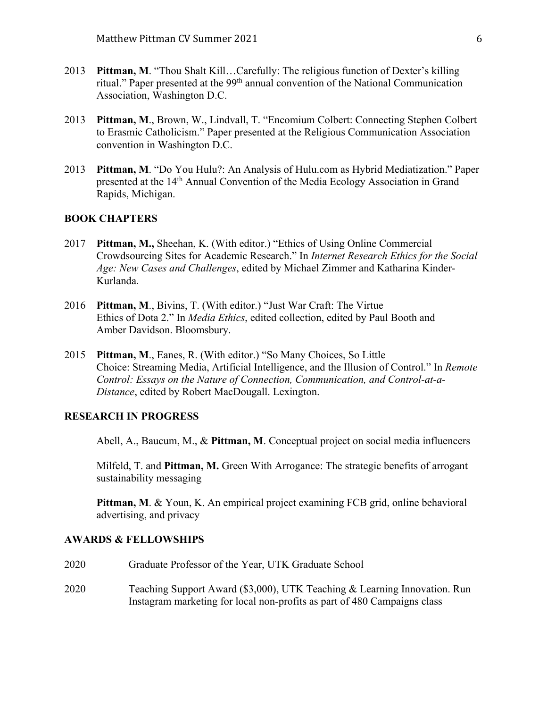- 2013 **Pittman, M**. "Thou Shalt Kill…Carefully: The religious function of Dexter's killing ritual." Paper presented at the 99<sup>th</sup> annual convention of the National Communication Association, Washington D.C.
- 2013 **Pittman, M**., Brown, W., Lindvall, T. "Encomium Colbert: Connecting Stephen Colbert to Erasmic Catholicism." Paper presented at the Religious Communication Association convention in Washington D.C.
- 2013 **Pittman, M**. "Do You Hulu?: An Analysis of Hulu.com as Hybrid Mediatization." Paper presented at the 14th Annual Convention of the Media Ecology Association in Grand Rapids, Michigan.

# **BOOK CHAPTERS**

- 2017 **Pittman, M.,** Sheehan, K. (With editor.) "Ethics of Using Online Commercial Crowdsourcing Sites for Academic Research." In *Internet Research Ethics for the Social Age: New Cases and Challenges*, edited by Michael Zimmer and Katharina Kinder-Kurlanda.
- 2016 **Pittman, M**., Bivins, T. (With editor.) "Just War Craft: The Virtue Ethics of Dota 2." In *Media Ethics*, edited collection, edited by Paul Booth and Amber Davidson. Bloomsbury.
- 2015 **Pittman, M**., Eanes, R. (With editor.) "So Many Choices, So Little Choice: Streaming Media, Artificial Intelligence, and the Illusion of Control." In *Remote Control: Essays on the Nature of Connection, Communication, and Control-at-a-Distance*, edited by Robert MacDougall. Lexington.

### **RESEARCH IN PROGRESS**

Abell, A., Baucum, M., & **Pittman, M**. Conceptual project on social media influencers

Milfeld, T. and **Pittman, M.** Green With Arrogance: The strategic benefits of arrogant sustainability messaging

**Pittman, M**. & Youn, K. An empirical project examining FCB grid, online behavioral advertising, and privacy

#### **AWARDS & FELLOWSHIPS**

2020 Graduate Professor of the Year, UTK Graduate School 2020 Teaching Support Award (\$3,000), UTK Teaching & Learning Innovation. Run Instagram marketing for local non-profits as part of 480 Campaigns class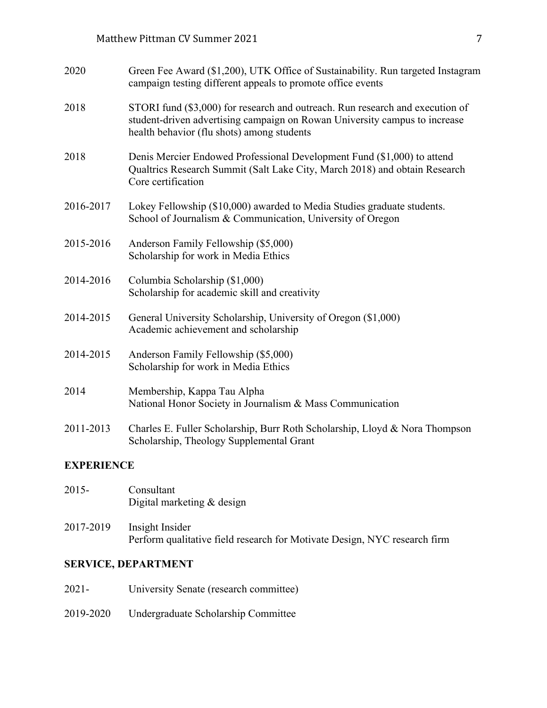| 2020              | Green Fee Award (\$1,200), UTK Office of Sustainability. Run targeted Instagram<br>campaign testing different appeals to promote office events                                                            |  |
|-------------------|-----------------------------------------------------------------------------------------------------------------------------------------------------------------------------------------------------------|--|
| 2018              | STORI fund (\$3,000) for research and outreach. Run research and execution of<br>student-driven advertising campaign on Rowan University campus to increase<br>health behavior (flu shots) among students |  |
| 2018              | Denis Mercier Endowed Professional Development Fund (\$1,000) to attend<br>Qualtrics Research Summit (Salt Lake City, March 2018) and obtain Research<br>Core certification                               |  |
| 2016-2017         | Lokey Fellowship (\$10,000) awarded to Media Studies graduate students.<br>School of Journalism & Communication, University of Oregon                                                                     |  |
| 2015-2016         | Anderson Family Fellowship (\$5,000)<br>Scholarship for work in Media Ethics                                                                                                                              |  |
| 2014-2016         | Columbia Scholarship (\$1,000)<br>Scholarship for academic skill and creativity                                                                                                                           |  |
| 2014-2015         | General University Scholarship, University of Oregon (\$1,000)<br>Academic achievement and scholarship                                                                                                    |  |
| 2014-2015         | Anderson Family Fellowship (\$5,000)<br>Scholarship for work in Media Ethics                                                                                                                              |  |
| 2014              | Membership, Kappa Tau Alpha<br>National Honor Society in Journalism & Mass Communication                                                                                                                  |  |
| 2011-2013         | Charles E. Fuller Scholarship, Burr Roth Scholarship, Lloyd & Nora Thompson<br>Scholarship, Theology Supplemental Grant                                                                                   |  |
| <b>EXPERIENCE</b> |                                                                                                                                                                                                           |  |

| 2015-     | Consultant<br>Digital marketing $&$ design                                                   |
|-----------|----------------------------------------------------------------------------------------------|
| 2017-2019 | Insight Insider<br>Perform qualitative field research for Motivate Design, NYC research firm |

# **SERVICE, DEPARTMENT**

- 2021- University Senate (research committee)
- 2019-2020 Undergraduate Scholarship Committee